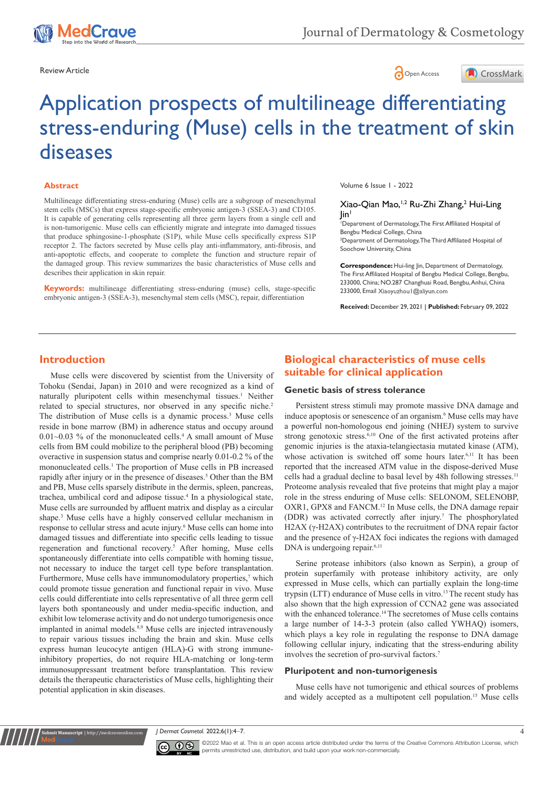





# Application prospects of multilineage differentiating stress-enduring (Muse) cells in the treatment of skin diseases

#### **Abstract**

Multilineage differentiating stress-enduring (Muse) cells are a subgroup of mesenchymal stem cells (MSCs) that express stage-specific embryonic antigen-3 (SSEA-3) and CD105. It is capable of generating cells representing all three germ layers from a single cell and is non-tumorigenic. Muse cells can efficiently migrate and integrate into damaged tissues that produce sphingosine-1-phosphate (S1P), while Muse cells specifically express S1P receptor 2. The factors secreted by Muse cells play anti-inflammatory, anti-fibrosis, and anti-apoptotic effects, and cooperate to complete the function and structure repair of the damaged group. This review summarizes the basic characteristics of Muse cells and describes their application in skin repair.

**Keywords:** multilineage differentiating stress-enduring (muse) cells, stage-specific embryonic antigen-3 (SSEA-3), mesenchymal stem cells (MSC), repair, differentiation

Volume 6 Issue 1 - 2022

#### Xiao-Qian Mao,<sup>1,2</sup> Ru-Zhi Zhang,<sup>2</sup> Hui-Ling  $\ln$ <sup>1</sup>

1 Department of Dermatology, The First Affiliated Hospital of Bengbu Medical College, China

<sup>2</sup>Department of Dermatology, The Third Affiliated Hospital of Soochow University, China

**Correspondence:** Hui-ling Jin, Department of Dermatology, The First Affiliated Hospital of Bengbu Medical College, Bengbu, 233000, China; NO.287 Changhuai Road, Bengbu, Anhui, China 233000, Email Xiaoyuzhou | @aliyun.com

**Received:** December 29, 2021 | **Published:** February 09, 2022

# **Introduction**

Muse cells were discovered by scientist from the University of Tohoku (Sendai, Japan) in 2010 and were recognized as a kind of naturally pluripotent cells within mesenchymal tissues.<sup>1</sup> Neither related to special structures, nor observed in any specific niche.<sup>2</sup> The distribution of Muse cells is a dynamic process.3 Muse cells reside in bone marrow (BM) in adherence status and occupy around  $0.01~0.03$  % of the mononucleated cells.<sup>4</sup> A small amount of Muse cells from BM could mobilize to the peripheral blood (PB) becoming overactive in suspension status and comprise nearly 0.01-0.2 % of the mononucleated cells.1 The proportion of Muse cells in PB increased rapidly after injury or in the presence of diseases.<sup>5</sup> Other than the BM and PB, Muse cells sparsely distribute in the dermis, spleen, pancreas, trachea, umbilical cord and adipose tissue.<sup>4</sup> In a physiological state, Muse cells are surrounded by affluent matrix and display as a circular shape.3 Muse cells have a highly conserved cellular mechanism in response to cellular stress and acute injury.<sup>6</sup> Muse cells can home into damaged tissues and differentiate into specific cells leading to tissue regeneration and functional recovery.<sup>5</sup> After homing, Muse cells spontaneously differentiate into cells compatible with homing tissue, not necessary to induce the target cell type before transplantation. Furthermore, Muse cells have immunomodulatory properties,<sup>7</sup> which could promote tissue generation and functional repair in vivo. Muse cells could differentiate into cells representative of all three germ cell layers both spontaneously and under media-specific induction, and exhibit low telomerase activity and do not undergo tumorigenesis once implanted in animal models.<sup>8,9</sup> Muse cells are injected intravenously to repair various tissues including the brain and skin. Muse cells express human leucocyte antigen (HLA)-G with strong immuneinhibitory properties, do not require HLA-matching or long-term immunosuppressant treatment before transplantation. This review details the therapeutic characteristics of Muse cells, highlighting their potential application in skin diseases.

# **Biological characteristics of muse cells suitable for clinical application**

#### **Genetic basis of stress tolerance**

Persistent stress stimuli may promote massive DNA damage and induce apoptosis or senescence of an organism.<sup>6</sup> Muse cells may have a powerful non-homologous end joining (NHEJ) system to survive strong genotoxic stress.<sup>6,10</sup> One of the first activated proteins after genomic injuries is the ataxia-telangiectasia mutated kinase (ATM), whose activation is switched off some hours later.<sup>6,11</sup> It has been reported that the increased ATM value in the dispose-derived Muse cells had a gradual decline to basal level by 48h following stresses.<sup>11</sup> Proteome analysis revealed that five proteins that might play a major role in the stress enduring of Muse cells: SELONOM, SELENOBP, OXR1, GPX8 and FANCM.12 In Muse cells, the DNA damage repair (DDR) was activated correctly after injury.7 The phosphorylated H2AX (γ-H2AX) contributes to the recruitment of DNA repair factor and the presence of γ-H2AX foci indicates the regions with damaged DNA is undergoing repair.<sup>6,11</sup>

Serine protease inhibitors (also known as Serpin), a group of protein superfamily with protease inhibitory activity, are only expressed in Muse cells, which can partially explain the long-time trypsin (LTT) endurance of Muse cells in vitro.<sup>13</sup> The recent study has also shown that the high expression of CCNA2 gene was associated with the enhanced tolerance.<sup>14</sup> The secretomes of Muse cells contains a large number of 14-3-3 protein (also called YWHAQ) isomers, which plays a key role in regulating the response to DNA damage following cellular injury, indicating that the stress-enduring ability involves the secretion of pro-survival factors.7

#### **Pluripotent and non-tumorigenesis**

Muse cells have not tumorigenic and ethical sources of problems and widely accepted as a multipotent cell population.15 Muse cells

*J Dermat Cosmetol.* 2022;6(1):4‒7. 4



**Krit Manuscript** | http://medcraveonline.c

©2022 Mao et al. This is an open access article distributed under the terms of the [Creative Commons Attribution License](https://creativecommons.org/licenses/by-nc/4.0/), which permits unrestricted use, distribution, and build upon your work non-commercially.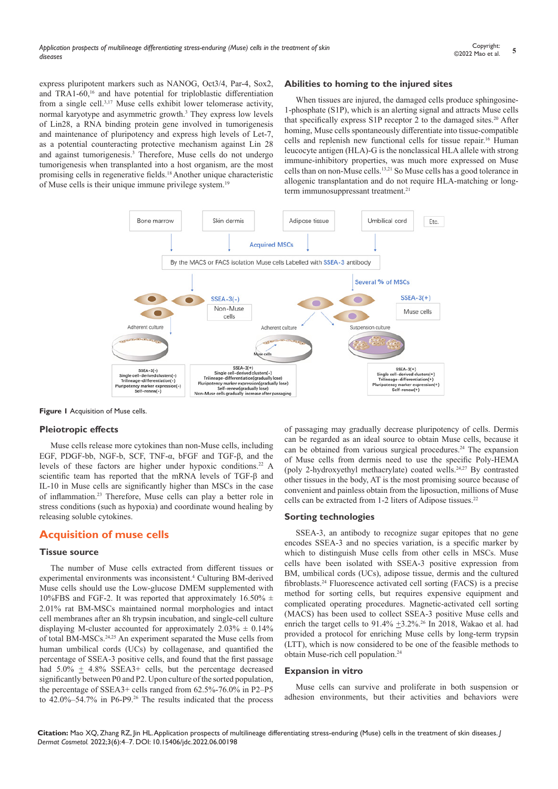express pluripotent markers such as NANOG, Oct3/4, Par-4, Sox2, and TRA1-60,<sup>16</sup> and have potential for triploblastic differentiation from a single cell.3,17 Muse cells exhibit lower telomerase activity, normal karyotype and asymmetric growth.3 They express low levels of Lin28, a RNA binding protein gene involved in tumorigenesis and maintenance of pluripotency and express high levels of Let-7, as a potential counteracting protective mechanism against Lin 28 and against tumorigenesis.3 Therefore, Muse cells do not undergo tumorigenesis when transplanted into a host organism, are the most promising cells in regenerative fields.18 Another unique characteristic of Muse cells is their unique immune privilege system.<sup>19</sup>

# **Abilities to homing to the injured sites**

When tissues are injured, the damaged cells produce sphingosine-1-phosphate (S1P), which is an alerting signal and attracts Muse cells that specifically express S1P receptor 2 to the damaged sites.<sup>20</sup> After homing, Muse cells spontaneously differentiate into tissue-compatible cells and replenish new functional cells for tissue repair.16 Human leucocyte antigen (HLA)-G is the nonclassical HLA allele with strong immune-inhibitory properties, was much more expressed on Muse cells than on non-Muse cells.13,21 So Muse cells has a good tolerance in allogenic transplantation and do not require HLA-matching or longterm immunosuppressant treatment.<sup>21</sup>



**Figure 1** Acquisition of Muse cells.

#### **Pleiotropic effects**

Muse cells release more cytokines than non-Muse cells, including EGF, PDGF-bb, NGF-b, SCF, TNF-α, bFGF and TGF-β, and the levels of these factors are higher under hypoxic conditions.<sup>22</sup> A scientific team has reported that the mRNA levels of TGF-β and IL-10 in Muse cells are significantly higher than MSCs in the case of inflammation.23 Therefore, Muse cells can play a better role in stress conditions (such as hypoxia) and coordinate wound healing by releasing soluble cytokines.

# **Acquisition of muse cells**

#### **Tissue source**

The number of Muse cells extracted from different tissues or experimental environments was inconsistent.<sup>4</sup> Culturing BM-derived Muse cells should use the Low-glucose DMEM supplemented with 10%FBS and FGF-2. It was reported that approximately  $16.50\% \pm$ 2.01% rat BM-MSCs maintained normal morphologies and intact cell membranes after an 8h trypsin incubation, and single-cell culture displaying M-cluster accounted for approximately  $2.03\% \pm 0.14\%$ of total BM-MSCs.24,25 An experiment separated the Muse cells from human umbilical cords (UCs) by collagenase, and quantified the percentage of SSEA-3 positive cells, and found that the first passage had  $5.0\% \pm 4.8\%$  SSEA3+ cells, but the percentage decreased significantly between P0 and P2. Upon culture of the sorted population, the percentage of SSEA3+ cells ranged from 62.5%-76.0% in P2–P5 to 42.0%–54.7% in P6-P9.26 The results indicated that the process

of passaging may gradually decrease pluripotency of cells. Dermis can be regarded as an ideal source to obtain Muse cells, because it can be obtained from various surgical procedures.24 The expansion of Muse cells from dermis need to use the specific Poly-HEMA (poly 2-hydroxyethyl methacrylate) coated wells.24,27 By contrasted other tissues in the body, AT is the most promising source because of convenient and painless obtain from the liposuction, millions of Muse cells can be extracted from 1-2 liters of Adipose tissues.<sup>22</sup>

#### **Sorting technologies**

SSEA-3, an antibody to recognize sugar epitopes that no gene encodes SSEA-3 and no species variation, is a specific marker by which to distinguish Muse cells from other cells in MSCs. Muse cells have been isolated with SSEA-3 positive expression from BM, umbilical cords (UCs), adipose tissue, dermis and the cultured fibroblasts.<sup>24</sup> Fluorescence activated cell sorting (FACS) is a precise method for sorting cells, but requires expensive equipment and complicated operating procedures. Magnetic-activated cell sorting (MACS) has been used to collect SSEA-3 positive Muse cells and enrich the target cells to  $91.4\%$   $\pm 3.2\%$ .<sup>26</sup> In 2018, Wakao et al. had provided a protocol for enriching Muse cells by long-term trypsin (LTT), which is now considered to be one of the feasible methods to obtain Muse-rich cell population.24

#### **Expansion in vitro**

Muse cells can survive and proliferate in both suspension or adhesion environments, but their activities and behaviors were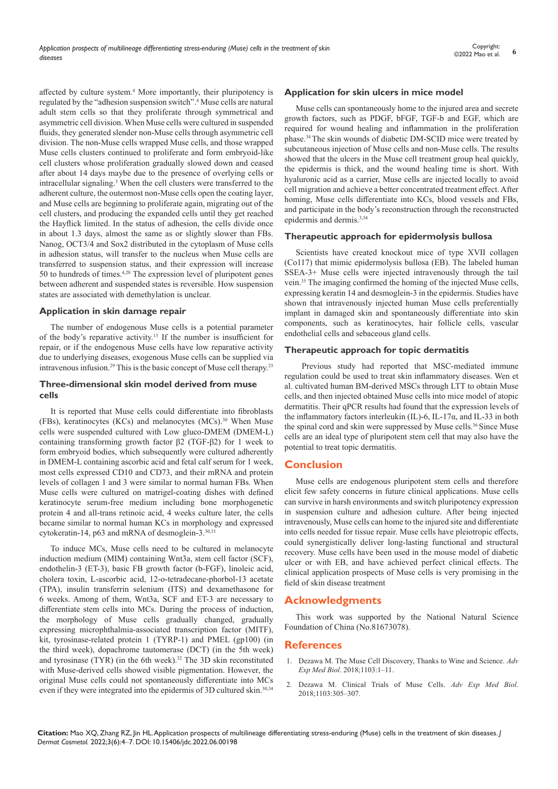affected by culture system.<sup>4</sup> More importantly, their pluripotency is regulated by the "adhesion suspension switch".4 Muse cells are natural adult stem cells so that they proliferate through symmetrical and asymmetric cell division. When Muse cells were cultured in suspended fluids, they generated slender non-Muse cells through asymmetric cell division. The non-Muse cells wrapped Muse cells, and those wrapped Muse cells clusters continued to proliferate and form embryoid-like cell clusters whose proliferation gradually slowed down and ceased after about 14 days maybe due to the presence of overlying cells or intracellular signaling.3 When the cell clusters were transferred to the adherent culture, the outermost non-Muse cells open the coating layer, and Muse cells are beginning to proliferate again, migrating out of the cell clusters, and producing the expanded cells until they get reached the Hayflick limited. In the status of adhesion, the cells divide once in about 1.3 days, almost the same as or slightly slower than FBs. Nanog, OCT3/4 and Sox2 distributed in the cytoplasm of Muse cells in adhesion status, will transfer to the nucleus when Muse cells are transferred to suspension status, and their expression will increase 50 to hundreds of times.4,28 The expression level of pluripotent genes between adherent and suspended states is reversible. How suspension states are associated with demethylation is unclear.

## **Application in skin damage repair**

The number of endogenous Muse cells is a potential parameter of the body's reparative activity.13 If the number is insufficient for repair, or if the endogenous Muse cells have low reparative activity due to underlying diseases, exogenous Muse cells can be supplied via intravenous infusion.29 This is the basic concept of Muse cell therapy.23

## **Three-dimensional skin model derived from muse cells**

It is reported that Muse cells could differentiate into fibroblasts (FBs), keratinocytes (KCs) and melanocytes (MCs).<sup>30</sup> When Muse cells were suspended cultured with Low gluco-DMEM (DMEM-L) containing transforming growth factor β2 (TGF-β2) for 1 week to form embryoid bodies, which subsequently were cultured adherently in DMEM-L containing ascorbic acid and fetal calf serum for 1 week, most cells expressed CD10 and CD73, and their mRNA and protein levels of collagen 1 and 3 were similar to normal human FBs. When Muse cells were cultured on matrigel-coating dishes with defined keratinocyte serum-free medium including bone morphogenetic protein 4 and all-trans retinoic acid, 4 weeks culture later, the cells became similar to normal human KCs in morphology and expressed cytokeratin-14, p63 and mRNA of desmoglein-3.30,31

To induce MCs, Muse cells need to be cultured in melanocyte induction medium (MIM) containing Wnt3a, stem cell factor (SCF), endothelin-3 (ET-3), basic FB growth factor (b-FGF), linoleic acid, cholera toxin, L-ascorbic acid, 12-o-tetradecane-phorbol-13 acetate (TPA), insulin transferrin selenium (ITS) and dexamethasone for 6 weeks. Among of them, Wnt3a, SCF and ET-3 are necessary to differentiate stem cells into MCs. During the process of induction, the morphology of Muse cells gradually changed, gradually expressing microphthalmia-associated transcription factor (MITF), kit, tyrosinase-related protein 1 (TYRP-1) and PMEL (gp100) (in the third week), dopachrome tautomerase (DCT) (in the 5th week) and tyrosinase  $(TYR)$  (in the 6th week).<sup>32</sup> The 3D skin reconstituted with Muse-derived cells showed visible pigmentation. However, the original Muse cells could not spontaneously differentiate into MCs even if they were integrated into the epidermis of 3D cultured skin.30,34

# **Application for skin ulcers in mice model**

Muse cells can spontaneously home to the injured area and secrete growth factors, such as PDGF, bFGF, TGF-b and EGF, which are required for wound healing and inflammation in the proliferation phase.34 The skin wounds of diabetic DM-SCID mice were treated by subcutaneous injection of Muse cells and non-Muse cells. The results showed that the ulcers in the Muse cell treatment group heal quickly, the epidermis is thick, and the wound healing time is short. With hyaluronic acid as a carrier, Muse cells are injected locally to avoid cell migration and achieve a better concentrated treatment effect. After homing, Muse cells differentiate into KCs, blood vessels and FBs, and participate in the body's reconstruction through the reconstructed epidermis and dermis.<sup>3,34</sup>

## **Therapeutic approach for epidermolysis bullosa**

Scientists have created knockout mice of type XVII collagen (Co117) that mimic epidermolysis bullosa (EB). The labeled human SSEA-3+ Muse cells were injected intravenously through the tail vein.35 The imaging confirmed the homing of the injected Muse cells, expressing keratin 14 and desmoglein-3 in the epidermis. Studies have shown that intravenously injected human Muse cells preferentially implant in damaged skin and spontaneously differentiate into skin components, such as keratinocytes, hair follicle cells, vascular endothelial cells and sebaceous gland cells.

#### **Therapeutic approach for topic dermatitis**

Previous study had reported that MSC-mediated immune regulation could be used to treat skin inflammatory diseases. Wen et al. cultivated human BM-derived MSCs through LTT to obtain Muse cells, and then injected obtained Muse cells into mice model of atopic dermatitis. Their qPCR results had found that the expression levels of the inflammatory factors interleukin (IL)-6, IL-17 $\alpha$ , and IL-33 in both the spinal cord and skin were suppressed by Muse cells.<sup>36</sup> Since Muse cells are an ideal type of pluripotent stem cell that may also have the potential to treat topic dermatitis.

# **Conclusion**

Muse cells are endogenous pluripotent stem cells and therefore elicit few safety concerns in future clinical applications. Muse cells can survive in harsh environments and switch pluripotency expression in suspension culture and adhesion culture. After being injected intravenously, Muse cells can home to the injured site and differentiate into cells needed for tissue repair. Muse cells have pleiotropic effects, could synergistically deliver long-lasting functional and structural recovery. Muse cells have been used in the mouse model of diabetic ulcer or with EB, and have achieved perfect clinical effects. The clinical application prospects of Muse cells is very promising in the field of skin disease treatment

# **Acknowledgments**

This work was supported by the National Natural Science Foundation of China (No.81673078).

# **References**

- 1. [Dezawa M. The Muse Cell Discovery, Thanks to Wine and Science.](https://pubmed.ncbi.nlm.nih.gov/30484221/) *Adv Exp Med Biol*[. 2018;1103:1–11.](https://pubmed.ncbi.nlm.nih.gov/30484221/)
- 2. [Dezawa M. Clinical Trials of Muse Cells.](https://link.springer.com/chapter/10.1007/978-4-431-56847-6_17) *Adv Exp Med Biol*. [2018;1103:305–307.](https://link.springer.com/chapter/10.1007/978-4-431-56847-6_17)